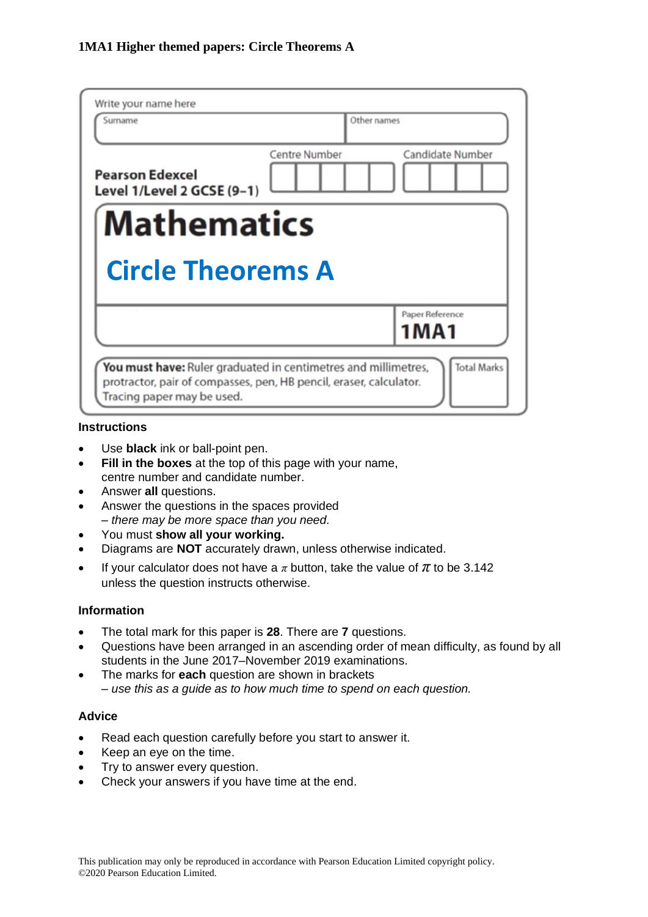| Write your name here<br>Surname                      |               | Other names                |
|------------------------------------------------------|---------------|----------------------------|
| <b>Pearson Edexcel</b><br>Level 1/Level 2 GCSE (9-1) | Centre Number | Candidate Number           |
| <b>Mathematics</b>                                   |               |                            |
|                                                      |               |                            |
| <b>Circle Theorems A</b>                             |               |                            |
|                                                      |               | Paper Reference<br>1 M A 1 |

### **Instructions**

- Use **black** ink or ball-point pen.
- **Fill in the boxes** at the top of this page with your name, centre number and candidate number.
- Answer **all** questions.
- Answer the questions in the spaces provided *– there may be more space than you need.*
- You must **show all your working.**
- Diagrams are **NOT** accurately drawn, unless otherwise indicated.
- If your calculator does not have a  $\pi$  button, take the value of  $\pi$  to be 3.142 unless the question instructs otherwise.

### **Information**

- The total mark for this paper is **28**. There are **7** questions.
- Questions have been arranged in an ascending order of mean difficulty, as found by all students in the June 2017–November 2019 examinations.
- The marks for **each** question are shown in brackets *– use this as a guide as to how much time to spend on each question.*

## **Advice**

- Read each question carefully before you start to answer it.
- Keep an eye on the time.
- Try to answer every question.
- Check your answers if you have time at the end.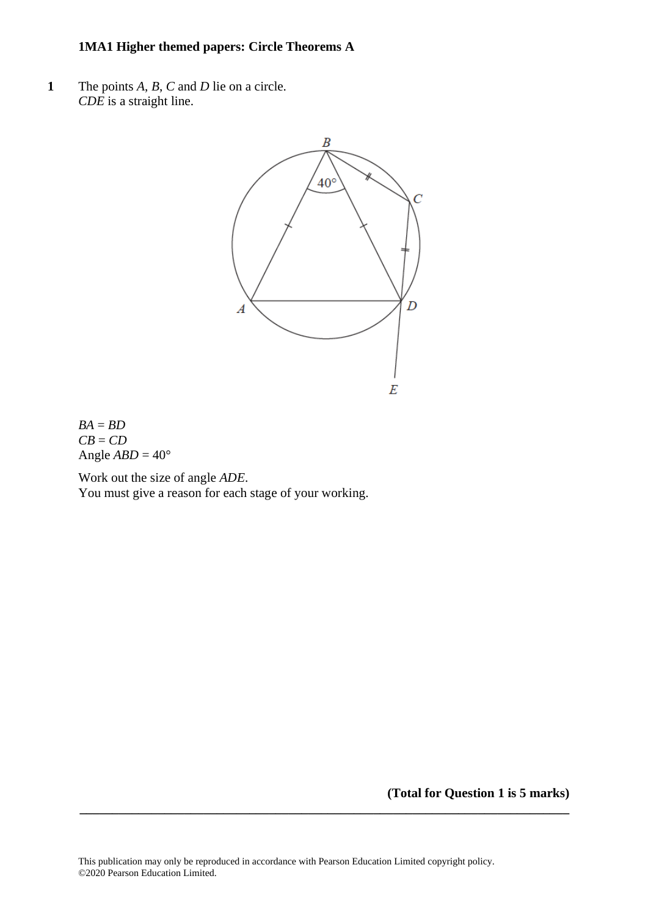## **1MA1 Higher themed papers: Circle Theorems A**

**1** The points *A*, *B*, *C* and *D* lie on a circle. *CDE* is a straight line.



 $BA = BD$ *CB* = *CD* Angle  $ABD = 40^\circ$ 

Work out the size of angle *ADE*. You must give a reason for each stage of your working.

**(Total for Question 1 is 5 marks)**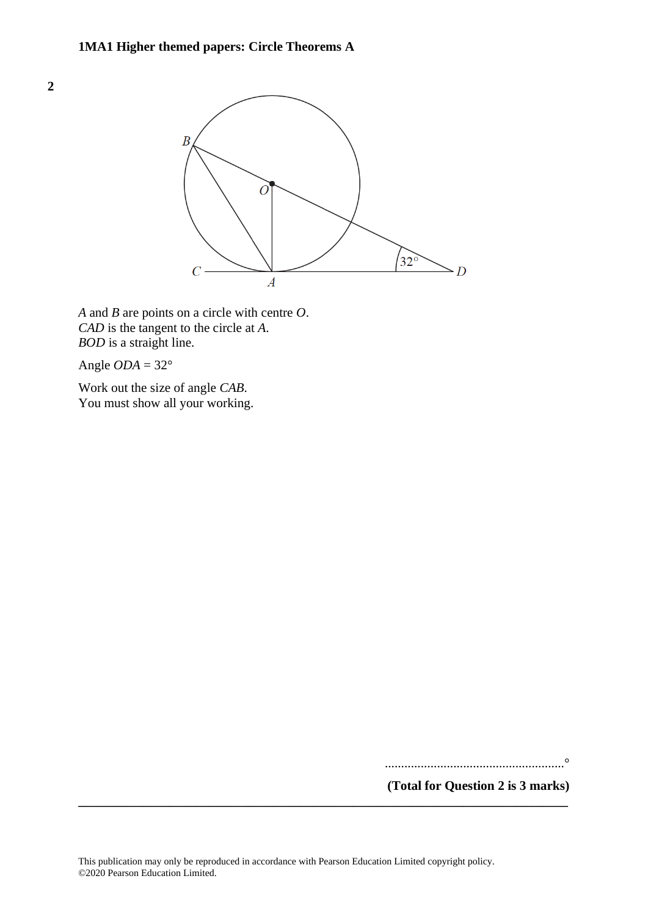

*A* and *B* are points on a circle with centre *O*. *CAD* is the tangent to the circle at *A*. *BOD* is a straight line.

Angle  $ODA = 32^\circ$ 

**2**

Work out the size of angle *CAB*. You must show all your working.

.......................................................°

**(Total for Question 2 is 3 marks)**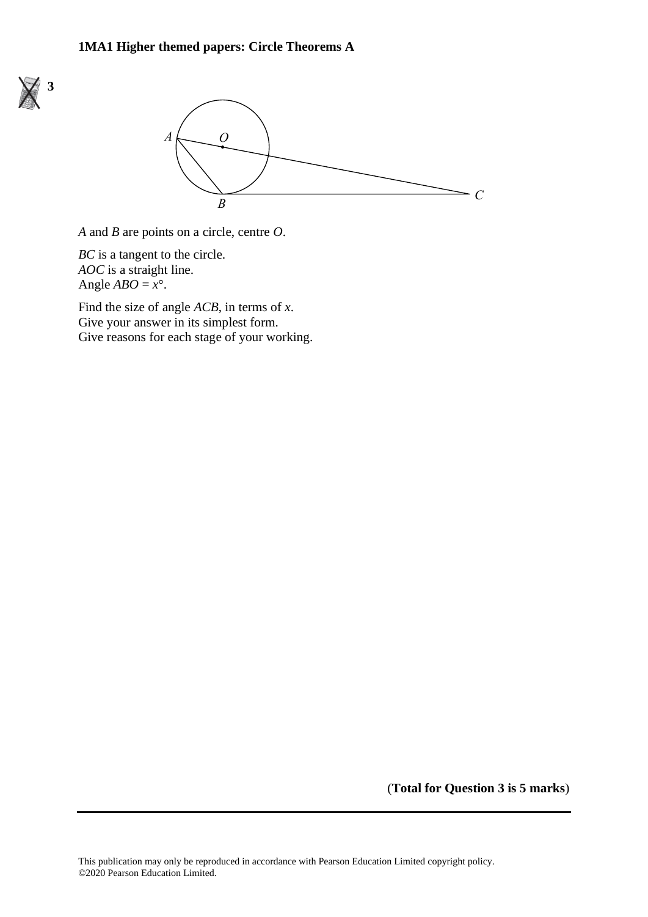



*A* and *B* are points on a circle, centre *O*. *A* and *B* are points on <sup>a</sup> circle, centre *O*.

*BC* is a tangent to the circle. *BC* is <sup>a</sup> tangent to the circle. *AOC* is a straight line. *AOC* is <sup>a</sup> straight line. Angle  $ABO = x^\circ$ .

Find the size of angle *ACB*, in terms of *x*. Find the size of angle *ACB*, in terms of *Give your answer in its simplest form.* Give your answer in its simplest form.<br>Give reasons for each stage of your working. Give reasons for each stage of your working.

(**Total for Question 3 is 5 marks**)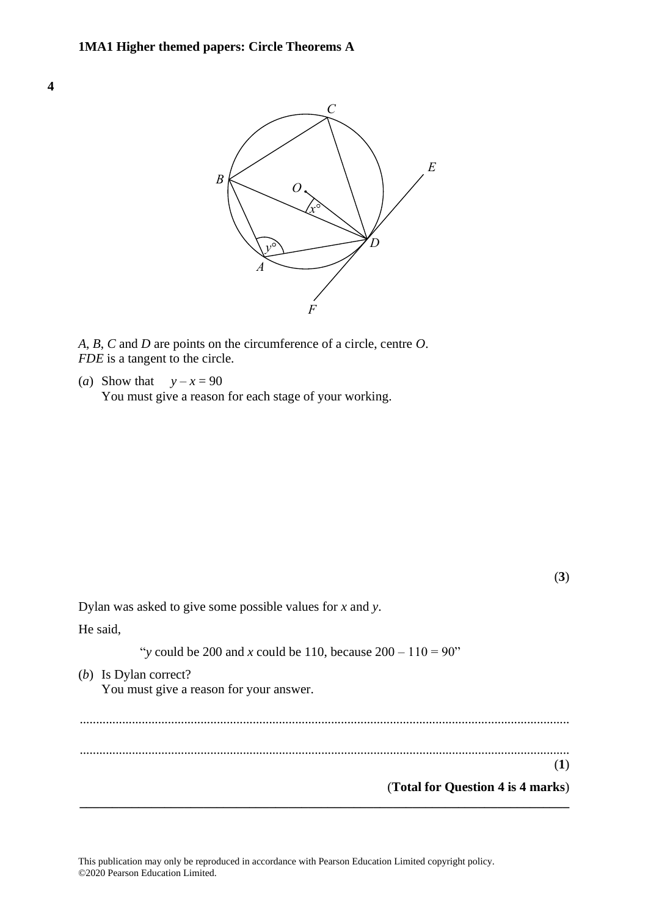



*A*, *B*, *C* and *D* are points on the circumference of a circle, centre *O*. *A*, *B*, *C* and *D* are points on the circumference of <sup>a</sup> circle, centre *O*. *FDE* is a tangent to the circle. *FDE* is <sup>a</sup> tangent to the circle.

(*a*) Show that  $y - x = 90$ You must give a reason for each stage of your working. You must give <sup>a</sup> reason for each stage of your working.

(**3**) Dylan was asked to give some possible values for *x* and *y*. He said, "*y* could be 200 and *x* could be 110, because  $200 - 110 = 90$ " (*b*) Is Dylan correct? (b) is Dylan concer:<br>You must give a reason for your answer. ...................................................................................................................................................... "*y* could be 200 and *<sup>x</sup>* could be 110, because 200 – 110 <sup>=</sup> 90" ...................................................................................................................................................... (b) Is Dylan correct? (**1**) (**Total for Question 4 is 4 marks**) **\_\_\_\_\_\_\_\_\_\_\_\_\_\_\_\_\_\_\_\_\_\_\_\_\_\_\_\_\_\_\_\_\_\_\_\_\_\_\_\_\_\_\_\_\_\_\_\_\_\_\_\_\_\_\_\_\_\_\_\_\_\_\_\_\_\_\_\_\_\_\_\_\_\_\_**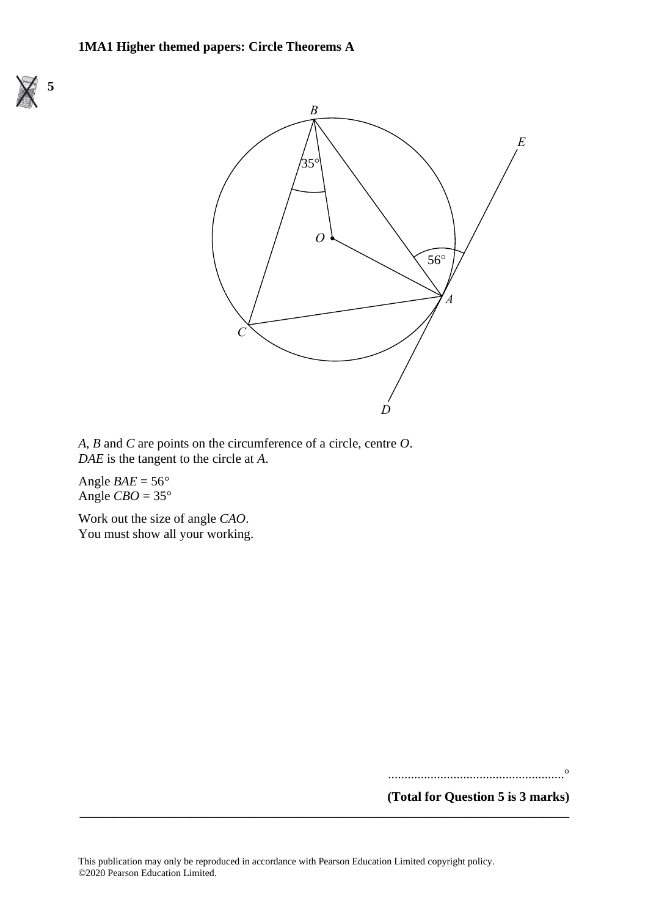



*A*, *B* and *C* are points on the circumference of a circle, centre *O*. *A*, *B* and *C* are points on the circumference of <sup>a</sup> circle, centre *O*. *DAE* is the tangent to the circle at *A*. *DAE* is the tangent to the circle at *A*.

Angle  $BAE = 56^\circ$ Angle  $CBO = 35^\circ$ 

Work out the size of angle *CAO*. You must show all your working. You must show all your working.

......................................................°

**(Total for Question 5 is 3 marks)**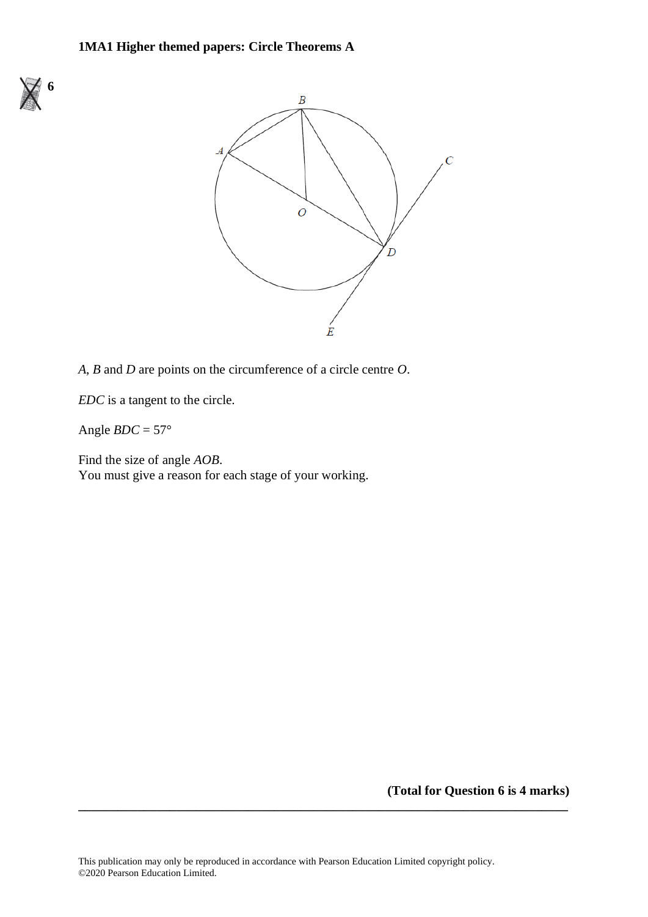



*A*, *B* and *D* are points on the circumference of a circle centre *O*.

*EDC* is a tangent to the circle.

Angle  $BDC = 57^\circ$ 

Find the size of angle *AOB*. You must give a reason for each stage of your working.

**(Total for Question 6 is 4 marks)**